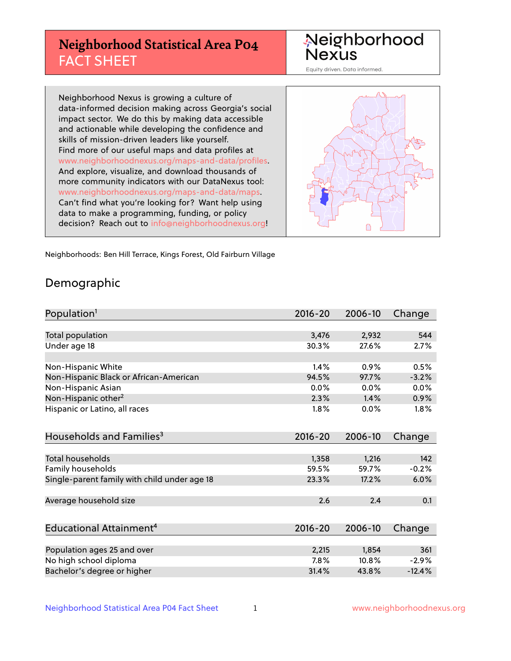# **Neighborhood Statistical Area P04** FACT SHEET

Neighborhood Nexus

Equity driven. Data informed.

Neighborhood Nexus is growing a culture of data-informed decision making across Georgia's social impact sector. We do this by making data accessible and actionable while developing the confidence and skills of mission-driven leaders like yourself. Find more of our useful maps and data profiles at www.neighborhoodnexus.org/maps-and-data/profiles. And explore, visualize, and download thousands of more community indicators with our DataNexus tool: www.neighborhoodnexus.org/maps-and-data/maps. Can't find what you're looking for? Want help using data to make a programming, funding, or policy decision? Reach out to [info@neighborhoodnexus.org!](mailto:info@neighborhoodnexus.org)



Neighborhoods: Ben Hill Terrace, Kings Forest, Old Fairburn Village

### Demographic

| Population <sup>1</sup>                      | $2016 - 20$ | 2006-10 | Change   |
|----------------------------------------------|-------------|---------|----------|
|                                              |             |         |          |
| <b>Total population</b>                      | 3,476       | 2,932   | 544      |
| Under age 18                                 | 30.3%       | 27.6%   | 2.7%     |
|                                              |             |         |          |
| Non-Hispanic White                           | 1.4%        | 0.9%    | 0.5%     |
| Non-Hispanic Black or African-American       | 94.5%       | 97.7%   | $-3.2%$  |
| Non-Hispanic Asian                           | $0.0\%$     | 0.0%    | 0.0%     |
| Non-Hispanic other <sup>2</sup>              | 2.3%        | 1.4%    | 0.9%     |
| Hispanic or Latino, all races                | 1.8%        | 0.0%    | 1.8%     |
| Households and Families <sup>3</sup>         | $2016 - 20$ | 2006-10 | Change   |
|                                              |             |         |          |
| Total households                             | 1,358       | 1,216   | 142      |
| Family households                            | 59.5%       | 59.7%   | $-0.2%$  |
| Single-parent family with child under age 18 | 23.3%       | 17.2%   | 6.0%     |
| Average household size                       | 2.6         | 2.4     | 0.1      |
|                                              |             |         |          |
| Educational Attainment <sup>4</sup>          | $2016 - 20$ | 2006-10 | Change   |
|                                              |             |         |          |
| Population ages 25 and over                  | 2,215       | 1,854   | 361      |
| No high school diploma                       | 7.8%        | 10.8%   | $-2.9%$  |
| Bachelor's degree or higher                  | 31.4%       | 43.8%   | $-12.4%$ |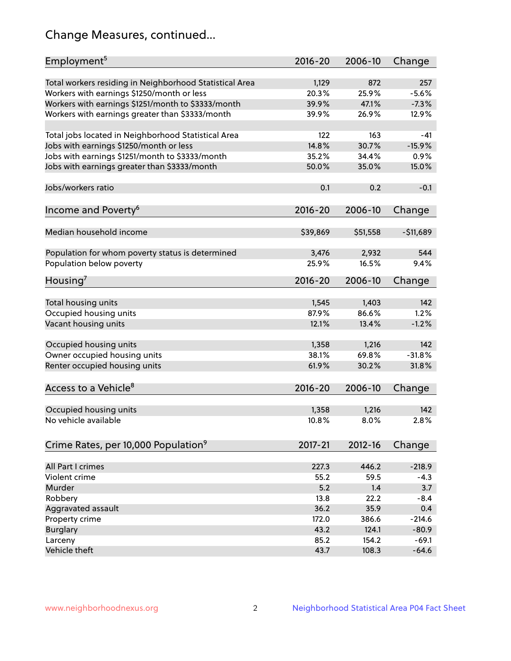# Change Measures, continued...

| Employment <sup>5</sup>                                 | $2016 - 20$    | 2006-10      | Change         |
|---------------------------------------------------------|----------------|--------------|----------------|
|                                                         |                |              |                |
| Total workers residing in Neighborhood Statistical Area | 1,129<br>20.3% | 872<br>25.9% | 257<br>$-5.6%$ |
| Workers with earnings \$1250/month or less              | 39.9%          | 47.1%        | $-7.3%$        |
| Workers with earnings \$1251/month to \$3333/month      | 39.9%          | 26.9%        | 12.9%          |
| Workers with earnings greater than \$3333/month         |                |              |                |
| Total jobs located in Neighborhood Statistical Area     | 122            | 163          | -41            |
| Jobs with earnings \$1250/month or less                 | 14.8%          | 30.7%        | $-15.9%$       |
| Jobs with earnings \$1251/month to \$3333/month         | 35.2%          | 34.4%        | 0.9%           |
| Jobs with earnings greater than \$3333/month            | 50.0%          | 35.0%        | 15.0%          |
|                                                         |                |              |                |
| Jobs/workers ratio                                      | 0.1            | 0.2          | $-0.1$         |
|                                                         |                |              |                |
| Income and Poverty <sup>6</sup>                         | 2016-20        | 2006-10      | Change         |
|                                                         |                |              |                |
| Median household income                                 | \$39,869       | \$51,558     | $-511,689$     |
|                                                         |                |              |                |
| Population for whom poverty status is determined        | 3,476          | 2,932        | 544            |
| Population below poverty                                | 25.9%          | 16.5%        | 9.4%           |
|                                                         |                |              |                |
| Housing <sup>7</sup>                                    | $2016 - 20$    | 2006-10      | Change         |
|                                                         |                |              |                |
| Total housing units                                     | 1,545          | 1,403        | 142            |
| Occupied housing units                                  | 87.9%          | 86.6%        | 1.2%           |
| Vacant housing units                                    | 12.1%          | 13.4%        | $-1.2%$        |
|                                                         |                |              |                |
| Occupied housing units                                  | 1,358          | 1,216        | 142            |
| Owner occupied housing units                            | 38.1%          | 69.8%        | $-31.8%$       |
| Renter occupied housing units                           | 61.9%          | 30.2%        | 31.8%          |
|                                                         |                |              |                |
| Access to a Vehicle <sup>8</sup>                        | $2016 - 20$    | 2006-10      | Change         |
|                                                         |                |              |                |
| Occupied housing units                                  | 1,358          | 1,216        | 142            |
| No vehicle available                                    | 10.8%          | 8.0%         | 2.8%           |
|                                                         |                |              |                |
| Crime Rates, per 10,000 Population <sup>9</sup>         | 2017-21        | 2012-16      | Change         |
|                                                         |                |              |                |
| All Part I crimes                                       | 227.3          | 446.2        | $-218.9$       |
| Violent crime                                           | 55.2           | 59.5         | $-4.3$         |
| Murder                                                  | 5.2            | 1.4          | 3.7            |
| Robbery                                                 | 13.8           | 22.2         | $-8.4$         |
| Aggravated assault                                      | 36.2           | 35.9         | 0.4            |
| Property crime                                          | 172.0          | 386.6        | $-214.6$       |
| <b>Burglary</b>                                         | 43.2           | 124.1        | $-80.9$        |
| Larceny                                                 | 85.2           | 154.2        | $-69.1$        |
| Vehicle theft                                           | 43.7           | 108.3        | $-64.6$        |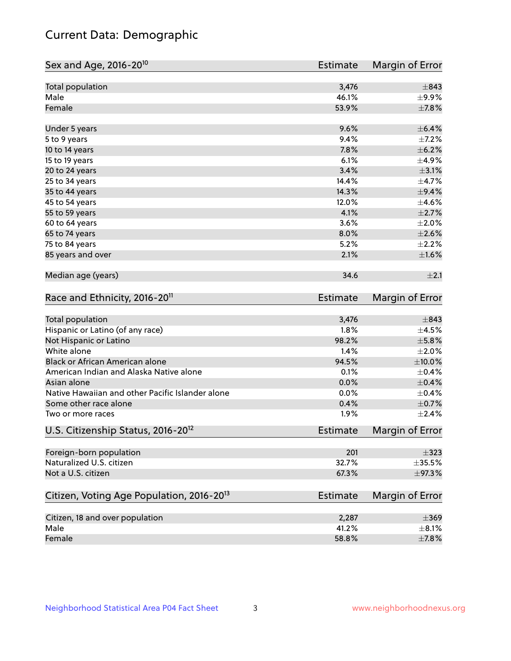# Current Data: Demographic

| Sex and Age, 2016-20 <sup>10</sup>                    | <b>Estimate</b> | Margin of Error |
|-------------------------------------------------------|-----------------|-----------------|
| Total population                                      | 3,476           | $\pm$ 843       |
| Male                                                  | 46.1%           | $\pm$ 9.9%      |
| Female                                                | 53.9%           | $\pm$ 7.8%      |
| Under 5 years                                         | 9.6%            | $\pm$ 6.4%      |
| 5 to 9 years                                          | 9.4%            | $\pm$ 7.2%      |
| 10 to 14 years                                        | 7.8%            | ±6.2%           |
| 15 to 19 years                                        | 6.1%            | $\pm$ 4.9%      |
| 20 to 24 years                                        | 3.4%            | $\pm$ 3.1%      |
| 25 to 34 years                                        | 14.4%           | $\pm$ 4.7%      |
| 35 to 44 years                                        | 14.3%           | $\pm$ 9.4%      |
| 45 to 54 years                                        | 12.0%           | $\pm$ 4.6%      |
| 55 to 59 years                                        | 4.1%            | $\pm 2.7\%$     |
| 60 to 64 years                                        | 3.6%            | $\pm 2.0\%$     |
| 65 to 74 years                                        | 8.0%            | $\pm 2.6\%$     |
| 75 to 84 years                                        | 5.2%            | $\pm 2.2\%$     |
| 85 years and over                                     | 2.1%            | $\pm1.6\%$      |
| Median age (years)                                    | 34.6            | $\pm 2.1$       |
| Race and Ethnicity, 2016-20 <sup>11</sup>             | <b>Estimate</b> | Margin of Error |
| Total population                                      | 3,476           | $\pm$ 843       |
| Hispanic or Latino (of any race)                      | 1.8%            | $\pm$ 4.5%      |
| Not Hispanic or Latino                                | 98.2%           | $\pm$ 5.8%      |
| White alone                                           | 1.4%            | $\pm 2.0\%$     |
| Black or African American alone                       | 94.5%           | ±10.0%          |
| American Indian and Alaska Native alone               | 0.1%            | $\pm$ 0.4%      |
| Asian alone                                           | 0.0%            | $\pm$ 0.4%      |
| Native Hawaiian and other Pacific Islander alone      | 0.0%            | $\pm$ 0.4%      |
| Some other race alone                                 | 0.4%            | $\pm$ 0.7%      |
| Two or more races                                     | 1.9%            | ±2.4%           |
| U.S. Citizenship Status, 2016-20 <sup>12</sup>        | <b>Estimate</b> | Margin of Error |
| Foreign-born population                               | 201             | $\pm$ 323       |
| Naturalized U.S. citizen                              | 32.7%           | $\pm$ 35.5%     |
| Not a U.S. citizen                                    | 67.3%           | $\pm$ 97.3%     |
| Citizen, Voting Age Population, 2016-20 <sup>13</sup> | Estimate        | Margin of Error |
| Citizen, 18 and over population                       | 2,287           | $\pm 369$       |
| Male                                                  | 41.2%           | $\pm$ 8.1%      |
| Female                                                | 58.8%           | $\pm$ 7.8%      |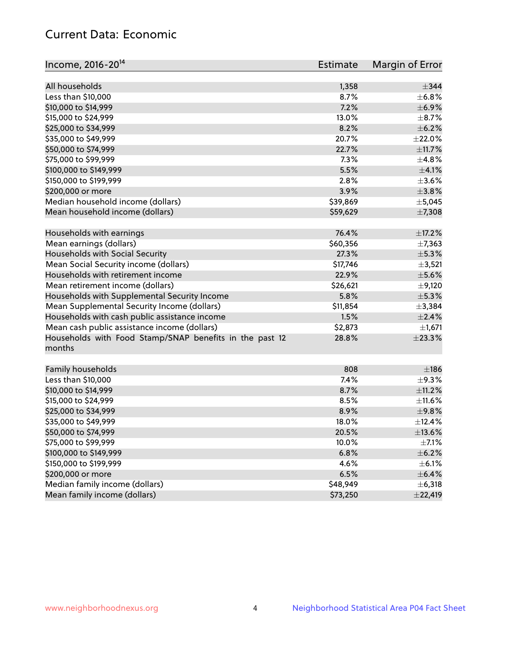# Current Data: Economic

| Income, 2016-20 <sup>14</sup>                           | <b>Estimate</b> | Margin of Error |
|---------------------------------------------------------|-----------------|-----------------|
| All households                                          | 1,358           | $\pm$ 344       |
| Less than \$10,000                                      | 8.7%            | ±6.8%           |
| \$10,000 to \$14,999                                    | 7.2%            | $\pm$ 6.9%      |
| \$15,000 to \$24,999                                    | 13.0%           | $\pm$ 8.7%      |
| \$25,000 to \$34,999                                    | 8.2%            | $\pm$ 6.2%      |
|                                                         | 20.7%           | $\pm 22.0\%$    |
| \$35,000 to \$49,999<br>\$50,000 to \$74,999            | 22.7%           | $\pm$ 11.7%     |
|                                                         |                 |                 |
| \$75,000 to \$99,999                                    | 7.3%            | ±4.8%           |
| \$100,000 to \$149,999                                  | 5.5%            | $\pm 4.1\%$     |
| \$150,000 to \$199,999                                  | 2.8%            | $\pm$ 3.6%      |
| \$200,000 or more                                       | 3.9%            | $\pm$ 3.8%      |
| Median household income (dollars)                       | \$39,869        | $\pm$ 5,045     |
| Mean household income (dollars)                         | \$59,629        | ±7,308          |
| Households with earnings                                | 76.4%           | $\pm$ 17.2%     |
| Mean earnings (dollars)                                 | \$60,356        | ±7,363          |
| Households with Social Security                         | 27.3%           | $\pm$ 5.3%      |
| Mean Social Security income (dollars)                   | \$17,746        | $\pm$ 3,521     |
| Households with retirement income                       | 22.9%           | $\pm$ 5.6%      |
| Mean retirement income (dollars)                        | \$26,621        | $\pm$ 9,120     |
| Households with Supplemental Security Income            | 5.8%            | $\pm$ 5.3%      |
| Mean Supplemental Security Income (dollars)             | \$11,854        | ±3,384          |
| Households with cash public assistance income           | 1.5%            | ±2.4%           |
| Mean cash public assistance income (dollars)            | \$2,873         | $\pm$ 1,671     |
| Households with Food Stamp/SNAP benefits in the past 12 | 28.8%           | ±23.3%          |
| months                                                  |                 |                 |
|                                                         |                 |                 |
| Family households                                       | 808             | ±186            |
| Less than \$10,000                                      | 7.4%            | $\pm$ 9.3%      |
| \$10,000 to \$14,999                                    | 8.7%            | ±11.2%          |
| \$15,000 to \$24,999                                    | 8.5%            | $\pm$ 11.6%     |
| \$25,000 to \$34,999                                    | 8.9%            | ±9.8%           |
| \$35,000 to \$49,999                                    | 18.0%           | ±12.4%          |
| \$50,000 to \$74,999                                    | 20.5%           | $\pm$ 13.6%     |
| \$75,000 to \$99,999                                    | 10.0%           | $\pm$ 7.1%      |
| \$100,000 to \$149,999                                  | 6.8%            | $\pm$ 6.2%      |
| \$150,000 to \$199,999                                  | 4.6%            | $\pm$ 6.1%      |
| \$200,000 or more                                       | 6.5%            | $\pm$ 6.4%      |
| Median family income (dollars)                          | \$48,949        | $\pm$ 6,318     |
| Mean family income (dollars)                            | \$73,250        | ±22,419         |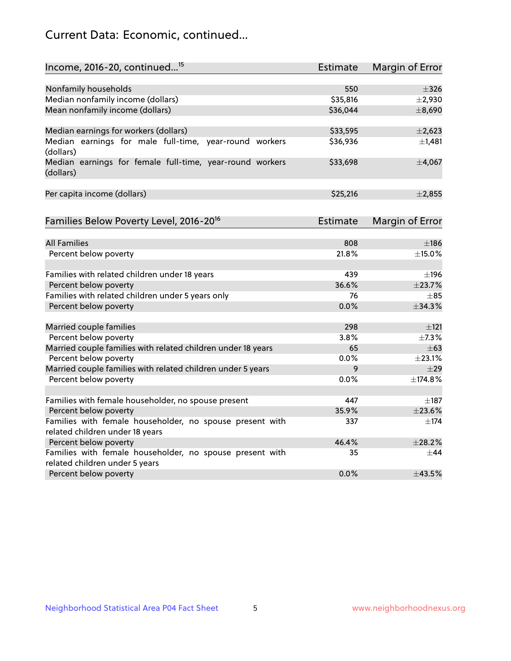# Current Data: Economic, continued...

| Income, 2016-20, continued <sup>15</sup>                              | <b>Estimate</b> | Margin of Error        |
|-----------------------------------------------------------------------|-----------------|------------------------|
|                                                                       |                 |                        |
| Nonfamily households                                                  | 550             | $\pm$ 326              |
| Median nonfamily income (dollars)                                     | \$35,816        | $\pm$ 2,930            |
| Mean nonfamily income (dollars)                                       | \$36,044        | ±8,690                 |
| Median earnings for workers (dollars)                                 | \$33,595        | $\pm$ 2,623            |
| Median earnings for male full-time, year-round workers<br>(dollars)   | \$36,936        | $\pm$ 1,481            |
| Median earnings for female full-time, year-round workers<br>(dollars) | \$33,698        | ±4,067                 |
| Per capita income (dollars)                                           | \$25,216        | ±2,855                 |
| Families Below Poverty Level, 2016-20 <sup>16</sup>                   | <b>Estimate</b> | <b>Margin of Error</b> |
|                                                                       |                 |                        |
| <b>All Families</b>                                                   | 808             | $\pm$ 186              |
| Percent below poverty                                                 | 21.8%           | $\pm$ 15.0%            |
| Families with related children under 18 years                         | 439             | ±196                   |
| Percent below poverty                                                 | 36.6%           | ±23.7%                 |
| Families with related children under 5 years only                     | 76              | $\pm$ 85               |
| Percent below poverty                                                 | 0.0%            | ±34.3%                 |
| Married couple families                                               | 298             | ±121                   |
| Percent below poverty                                                 | 3.8%            | ±7.3%                  |
| Married couple families with related children under 18 years          | 65              | $\pm 63$               |
| Percent below poverty                                                 | $0.0\%$         | ±23.1%                 |
| Married couple families with related children under 5 years           | 9               | $\pm$ 29               |
| Percent below poverty                                                 | $0.0\%$         | ±174.8%                |
| Families with female householder, no spouse present                   | 447             | $\pm$ 187              |
| Percent below poverty                                                 | 35.9%           | ±23.6%                 |
| Families with female householder, no spouse present with              | 337             | $+174$                 |
| related children under 18 years                                       |                 |                        |
| Percent below poverty                                                 | 46.4%           | ±28.2%                 |
| Families with female householder, no spouse present with              | 35              | $\pm$ 44               |
| related children under 5 years                                        |                 |                        |
| Percent below poverty                                                 | 0.0%            | ±43.5%                 |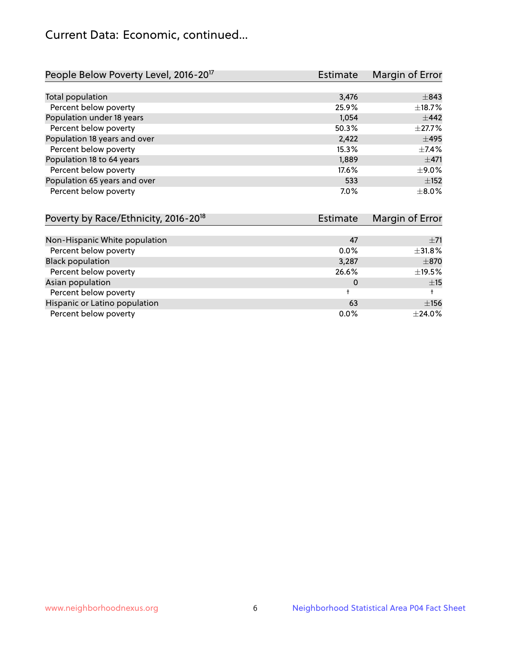# Current Data: Economic, continued...

| People Below Poverty Level, 2016-20 <sup>17</sup> | <b>Estimate</b> | Margin of Error |
|---------------------------------------------------|-----------------|-----------------|
|                                                   |                 |                 |
| Total population                                  | 3,476           | $\pm$ 843       |
| Percent below poverty                             | 25.9%           | ±18.7%          |
| Population under 18 years                         | 1.054           | $\pm$ 442       |
| Percent below poverty                             | 50.3%           | $\pm 27.7\%$    |
| Population 18 years and over                      | 2,422           | $\pm$ 495       |
| Percent below poverty                             | 15.3%           | $\pm$ 7.4%      |
| Population 18 to 64 years                         | 1,889           | $\pm$ 471       |
| Percent below poverty                             | 17.6%           | $\pm$ 9.0%      |
| Population 65 years and over                      | 533             | $\pm$ 152       |
| Percent below poverty                             | 7.0%            | $\pm$ 8.0%      |

| Poverty by Race/Ethnicity, 2016-20 <sup>18</sup> | Margin of Error<br>Estimate |             |
|--------------------------------------------------|-----------------------------|-------------|
|                                                  |                             |             |
| Non-Hispanic White population                    | 47                          | $\pm$ 71    |
| Percent below poverty                            | $0.0\%$                     | ±31.8%      |
| <b>Black population</b>                          | 3,287                       | $\pm$ 870   |
| Percent below poverty                            | 26.6%                       | $\pm$ 19.5% |
| Asian population                                 | 0                           | ±15         |
| Percent below poverty                            |                             |             |
| Hispanic or Latino population                    | 63                          | ±156        |
| Percent below poverty                            | 0.0%                        | ±24.0%      |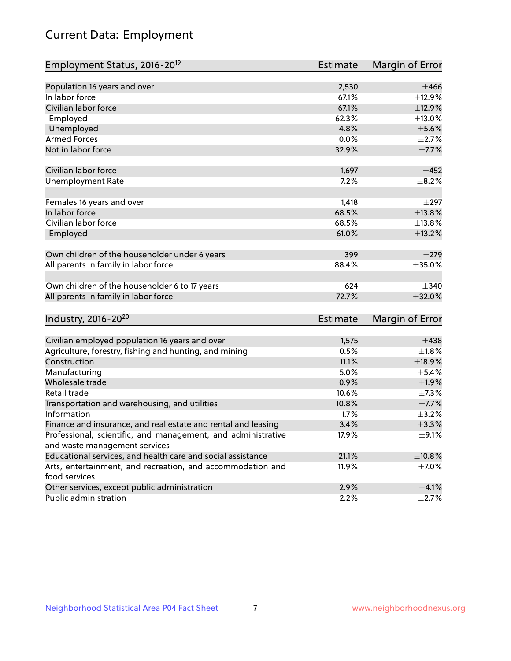# Current Data: Employment

| Employment Status, 2016-20 <sup>19</sup>                      | <b>Estimate</b> | Margin of Error |
|---------------------------------------------------------------|-----------------|-----------------|
|                                                               |                 |                 |
| Population 16 years and over                                  | 2,530           | $\pm 466$       |
| In labor force                                                | 67.1%           | $\pm$ 12.9%     |
| Civilian labor force                                          | 67.1%           | ±12.9%          |
| Employed                                                      | 62.3%           | ±13.0%          |
| Unemployed                                                    | 4.8%            | $\pm$ 5.6%      |
| <b>Armed Forces</b>                                           | 0.0%            | $\pm 2.7\%$     |
| Not in labor force                                            | 32.9%           | $\pm$ 7.7%      |
| Civilian labor force                                          | 1,697           | $\pm 452$       |
| <b>Unemployment Rate</b>                                      | 7.2%            | $\pm$ 8.2%      |
| Females 16 years and over                                     | 1,418           | $\pm$ 297       |
| In labor force                                                | 68.5%           | ±13.8%          |
| Civilian labor force                                          | 68.5%           | ±13.8%          |
|                                                               | 61.0%           | ±13.2%          |
| Employed                                                      |                 |                 |
| Own children of the householder under 6 years                 | 399             | $\pm 279$       |
| All parents in family in labor force                          | 88.4%           | ±35.0%          |
|                                                               |                 |                 |
| Own children of the householder 6 to 17 years                 | 624             | $\pm$ 340       |
| All parents in family in labor force                          | 72.7%           | ±32.0%          |
| Industry, 2016-20 <sup>20</sup>                               | Estimate        | Margin of Error |
|                                                               |                 |                 |
| Civilian employed population 16 years and over                | 1,575           | $\pm$ 438       |
| Agriculture, forestry, fishing and hunting, and mining        | 0.5%            | $\pm 1.8\%$     |
| Construction                                                  | 11.1%           | ±18.9%          |
| Manufacturing                                                 | 5.0%            | $\pm$ 5.4%      |
| Wholesale trade                                               | 0.9%            | ±1.9%           |
| Retail trade                                                  | 10.6%           | $\pm$ 7.3%      |
| Transportation and warehousing, and utilities                 | 10.8%           | $\pm$ 7.7%      |
| Information                                                   | 1.7%            | $\pm$ 3.2%      |
| Finance and insurance, and real estate and rental and leasing | 3.4%            | ±3.3%           |
| Professional, scientific, and management, and administrative  | 17.9%           | $\pm$ 9.1%      |
| and waste management services                                 |                 |                 |
| Educational services, and health care and social assistance   | 21.1%           | ±10.8%          |
| Arts, entertainment, and recreation, and accommodation and    | 11.9%           | $\pm$ 7.0%      |
| food services                                                 |                 |                 |
| Other services, except public administration                  | 2.9%            | $\pm$ 4.1%      |
| Public administration                                         | 2.2%            | $\pm$ 2.7%      |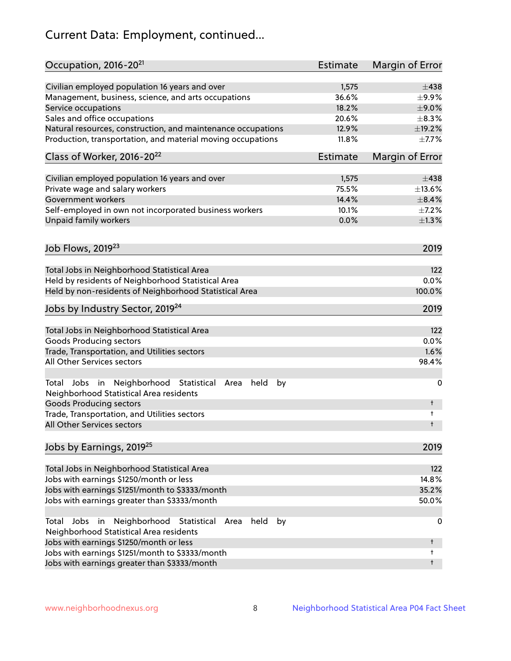# Current Data: Employment, continued...

| Occupation, 2016-20 <sup>21</sup>                                                                    | Estimate | Margin of Error |
|------------------------------------------------------------------------------------------------------|----------|-----------------|
| Civilian employed population 16 years and over                                                       | 1,575    | $\pm$ 438       |
| Management, business, science, and arts occupations                                                  | 36.6%    | $\pm$ 9.9%      |
| Service occupations                                                                                  | 18.2%    | $\pm$ 9.0%      |
| Sales and office occupations                                                                         | 20.6%    | $\pm$ 8.3%      |
| Natural resources, construction, and maintenance occupations                                         | 12.9%    | $\pm$ 19.2%     |
| Production, transportation, and material moving occupations                                          | 11.8%    | $\pm$ 7.7%      |
| Class of Worker, 2016-20 <sup>22</sup>                                                               | Estimate | Margin of Error |
| Civilian employed population 16 years and over                                                       | 1,575    | $\pm$ 438       |
| Private wage and salary workers                                                                      | 75.5%    | ±13.6%          |
| Government workers                                                                                   | 14.4%    | $\pm$ 8.4%      |
| Self-employed in own not incorporated business workers                                               | 10.1%    | $\pm$ 7.2%      |
| Unpaid family workers                                                                                | 0.0%     | $\pm 1.3\%$     |
| Job Flows, 2019 <sup>23</sup>                                                                        |          | 2019            |
|                                                                                                      |          |                 |
| Total Jobs in Neighborhood Statistical Area                                                          |          | 122             |
| Held by residents of Neighborhood Statistical Area                                                   |          | 0.0%            |
| Held by non-residents of Neighborhood Statistical Area                                               |          | 100.0%          |
| Jobs by Industry Sector, 2019 <sup>24</sup>                                                          |          | 2019            |
| Total Jobs in Neighborhood Statistical Area                                                          |          | 122             |
| <b>Goods Producing sectors</b>                                                                       |          | 0.0%            |
| Trade, Transportation, and Utilities sectors                                                         |          | 1.6%            |
| All Other Services sectors                                                                           |          | 98.4%           |
| Total Jobs in Neighborhood Statistical Area<br>held<br>by<br>Neighborhood Statistical Area residents |          | 0               |
| <b>Goods Producing sectors</b>                                                                       |          | t               |
| Trade, Transportation, and Utilities sectors<br>All Other Services sectors                           |          | t<br>t          |
| Jobs by Earnings, 2019 <sup>25</sup>                                                                 |          | 2019            |
|                                                                                                      |          |                 |
| Total Jobs in Neighborhood Statistical Area                                                          |          | 122             |
| Jobs with earnings \$1250/month or less                                                              |          | 14.8%           |
| Jobs with earnings \$1251/month to \$3333/month                                                      |          | 35.2%           |
| Jobs with earnings greater than \$3333/month                                                         |          | 50.0%           |
| Neighborhood Statistical<br>Jobs<br>in<br>held<br>by<br>Total<br>Area                                |          | 0               |
| Neighborhood Statistical Area residents                                                              |          |                 |
| Jobs with earnings \$1250/month or less                                                              |          | t               |
| Jobs with earnings \$1251/month to \$3333/month                                                      |          | t               |
| Jobs with earnings greater than \$3333/month                                                         |          | t               |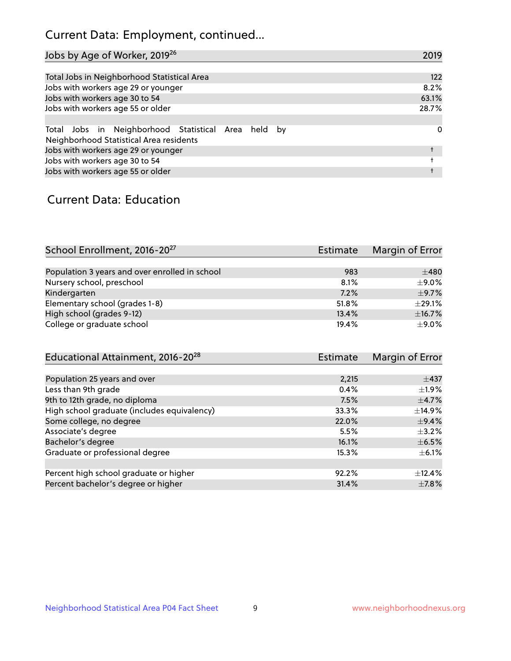# Current Data: Employment, continued...

| Jobs by Age of Worker, 2019 <sup>26</sup>                                                      | 2019  |
|------------------------------------------------------------------------------------------------|-------|
|                                                                                                |       |
| Total Jobs in Neighborhood Statistical Area                                                    | 122   |
| Jobs with workers age 29 or younger                                                            | 8.2%  |
| Jobs with workers age 30 to 54                                                                 | 63.1% |
| Jobs with workers age 55 or older                                                              | 28.7% |
|                                                                                                |       |
| Total Jobs in Neighborhood Statistical Area held by<br>Neighborhood Statistical Area residents | 0     |
| Jobs with workers age 29 or younger                                                            |       |
| Jobs with workers age 30 to 54                                                                 |       |
| Jobs with workers age 55 or older                                                              |       |

### Current Data: Education

| School Enrollment, 2016-20 <sup>27</sup>       | <b>Estimate</b> | Margin of Error |
|------------------------------------------------|-----------------|-----------------|
|                                                |                 |                 |
| Population 3 years and over enrolled in school | 983             | $\pm 480$       |
| Nursery school, preschool                      | 8.1%            | ±9.0%           |
| Kindergarten                                   | 7.2%            | $\pm$ 9.7%      |
| Elementary school (grades 1-8)                 | 51.8%           | $+29.1%$        |
| High school (grades 9-12)                      | 13.4%           | ±16.7%          |
| College or graduate school                     | 19.4%           | ±9.0%           |

| Educational Attainment, 2016-20 <sup>28</sup> | Estimate | Margin of Error |
|-----------------------------------------------|----------|-----------------|
|                                               |          |                 |
| Population 25 years and over                  | 2,215    | $\pm$ 437       |
| Less than 9th grade                           | 0.4%     | $\pm 1.9\%$     |
| 9th to 12th grade, no diploma                 | 7.5%     | $\pm$ 4.7%      |
| High school graduate (includes equivalency)   | 33.3%    | $\pm$ 14.9%     |
| Some college, no degree                       | 22.0%    | $\pm$ 9.4%      |
| Associate's degree                            | 5.5%     | $\pm$ 3.2%      |
| Bachelor's degree                             | 16.1%    | $\pm$ 6.5%      |
| Graduate or professional degree               | 15.3%    | $\pm$ 6.1%      |
|                                               |          |                 |
| Percent high school graduate or higher        | 92.2%    | $+12.4%$        |
| Percent bachelor's degree or higher           | 31.4%    | $\pm$ 7.8%      |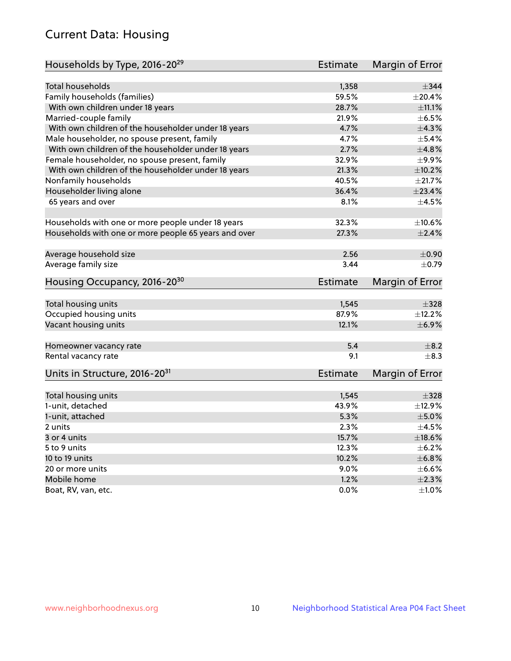# Current Data: Housing

| Households by Type, 2016-20 <sup>29</sup>            | <b>Estimate</b> | Margin of Error |
|------------------------------------------------------|-----------------|-----------------|
|                                                      |                 |                 |
| <b>Total households</b>                              | 1,358           | $\pm$ 344       |
| Family households (families)                         | 59.5%           | ±20.4%          |
| With own children under 18 years                     | 28.7%           | ±11.1%          |
| Married-couple family                                | 21.9%           | $\pm$ 6.5%      |
| With own children of the householder under 18 years  | 4.7%            | $\pm$ 4.3%      |
| Male householder, no spouse present, family          | 4.7%            | $\pm$ 5.4%      |
| With own children of the householder under 18 years  | 2.7%            | ±4.8%           |
| Female householder, no spouse present, family        | 32.9%           | ±9.9%           |
| With own children of the householder under 18 years  | 21.3%           | ±10.2%          |
| Nonfamily households                                 | 40.5%           | $\pm 21.7\%$    |
| Householder living alone                             | 36.4%           | ±23.4%          |
| 65 years and over                                    | 8.1%            | $\pm$ 4.5%      |
|                                                      |                 |                 |
| Households with one or more people under 18 years    | 32.3%           | ±10.6%          |
| Households with one or more people 65 years and over | 27.3%           | $\pm 2.4\%$     |
| Average household size                               | 2.56            | $\pm$ 0.90      |
| Average family size                                  | 3.44            | $\pm$ 0.79      |
| Housing Occupancy, 2016-20 <sup>30</sup>             | Estimate        | Margin of Error |
|                                                      |                 |                 |
| Total housing units                                  | 1,545           | $\pm$ 328       |
| Occupied housing units                               | 87.9%           | ±12.2%          |
| Vacant housing units                                 | 12.1%           | $\pm$ 6.9%      |
|                                                      | 5.4             | $\pm$ 8.2       |
| Homeowner vacancy rate<br>Rental vacancy rate        | 9.1             | $\pm$ 8.3       |
|                                                      |                 |                 |
| Units in Structure, 2016-20 <sup>31</sup>            | <b>Estimate</b> | Margin of Error |
| Total housing units                                  | 1,545           | $\pm$ 328       |
| 1-unit, detached                                     | 43.9%           | ±12.9%          |
| 1-unit, attached                                     | 5.3%            | $\pm$ 5.0%      |
| 2 units                                              | 2.3%            | $\pm$ 4.5%      |
|                                                      | 15.7%           | ±18.6%          |
| 3 or 4 units                                         |                 |                 |
| 5 to 9 units                                         | 12.3%           | $\pm$ 6.2%      |
| 10 to 19 units                                       | 10.2%           | ±6.8%           |
| 20 or more units                                     | $9.0\%$         | $\pm$ 6.6%      |
| Mobile home                                          | 1.2%            | $\pm 2.3\%$     |
| Boat, RV, van, etc.                                  | $0.0\%$         | $\pm 1.0\%$     |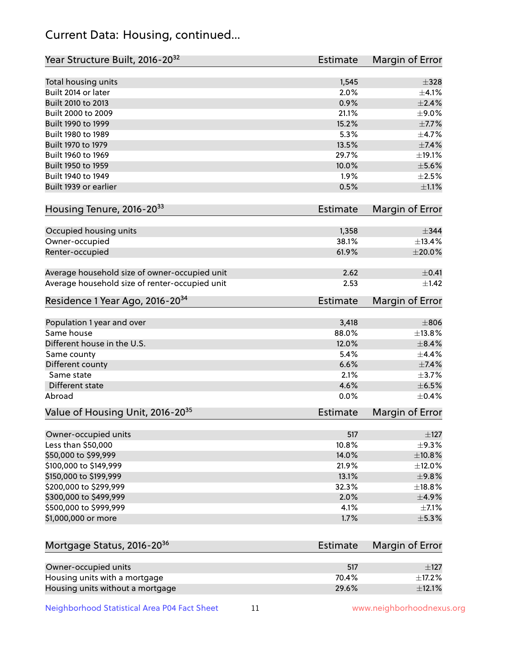# Current Data: Housing, continued...

| Year Structure Built, 2016-20 <sup>32</sup>    | <b>Estimate</b> | Margin of Error |
|------------------------------------------------|-----------------|-----------------|
| Total housing units                            | 1,545           | $\pm$ 328       |
| Built 2014 or later                            | 2.0%            | $\pm 4.1\%$     |
| Built 2010 to 2013                             | 0.9%            | $\pm 2.4\%$     |
| Built 2000 to 2009                             | 21.1%           | $\pm$ 9.0%      |
| Built 1990 to 1999                             | 15.2%           | $\pm$ 7.7%      |
| Built 1980 to 1989                             | 5.3%            | ±4.7%           |
| Built 1970 to 1979                             | 13.5%           | ±7.4%           |
| Built 1960 to 1969                             | 29.7%           | ±19.1%          |
| Built 1950 to 1959                             | 10.0%           | $\pm$ 5.6%      |
| Built 1940 to 1949                             | 1.9%            | $\pm 2.5\%$     |
| Built 1939 or earlier                          | 0.5%            | $\pm 1.1\%$     |
|                                                |                 |                 |
| Housing Tenure, 2016-2033                      | <b>Estimate</b> | Margin of Error |
| Occupied housing units                         | 1,358           | $\pm$ 344       |
| Owner-occupied                                 | 38.1%           | ±13.4%          |
| Renter-occupied                                | 61.9%           | $\pm 20.0\%$    |
|                                                |                 |                 |
| Average household size of owner-occupied unit  | 2.62            | $\pm$ 0.41      |
| Average household size of renter-occupied unit | 2.53            | ±1.42           |
| Residence 1 Year Ago, 2016-20 <sup>34</sup>    | <b>Estimate</b> | Margin of Error |
|                                                |                 |                 |
| Population 1 year and over                     | 3,418           | $\pm806$        |
| Same house                                     | 88.0%           | ±13.8%          |
| Different house in the U.S.                    | 12.0%           | $\pm$ 8.4%      |
| Same county                                    | 5.4%            | $\pm$ 4.4%      |
| Different county                               | 6.6%            | ±7.4%           |
| Same state                                     | 2.1%            | $\pm$ 3.7%      |
| <b>Different state</b>                         | 4.6%            | $\pm$ 6.5%      |
| Abroad                                         | 0.0%            | $\pm$ 0.4%      |
| Value of Housing Unit, 2016-20 <sup>35</sup>   | <b>Estimate</b> | Margin of Error |
| Owner-occupied units                           | 517             | $\pm$ 127       |
| Less than \$50,000                             | 10.8%           | $\pm$ 9.3%      |
| \$50,000 to \$99,999                           | 14.0%           | ±10.8%          |
| \$100,000 to \$149,999                         | 21.9%           | ±12.0%          |
| \$150,000 to \$199,999                         | 13.1%           | ±9.8%           |
| \$200,000 to \$299,999                         | 32.3%           | ±18.8%          |
| \$300,000 to \$499,999                         | 2.0%            | $\pm$ 4.9%      |
| \$500,000 to \$999,999                         | 4.1%            | $\pm$ 7.1%      |
| \$1,000,000 or more                            | 1.7%            | $\pm$ 5.3%      |
|                                                |                 |                 |
| Mortgage Status, 2016-20 <sup>36</sup>         | <b>Estimate</b> | Margin of Error |
|                                                |                 |                 |
| Owner-occupied units                           | 517             | $\pm$ 127       |
| Housing units with a mortgage                  | 70.4%           | $\pm$ 17.2%     |
| Housing units without a mortgage               | 29.6%           | ±12.1%          |

Neighborhood Statistical Area P04 Fact Sheet 11 11 www.neighborhoodnexus.org

Housing units without a mortgage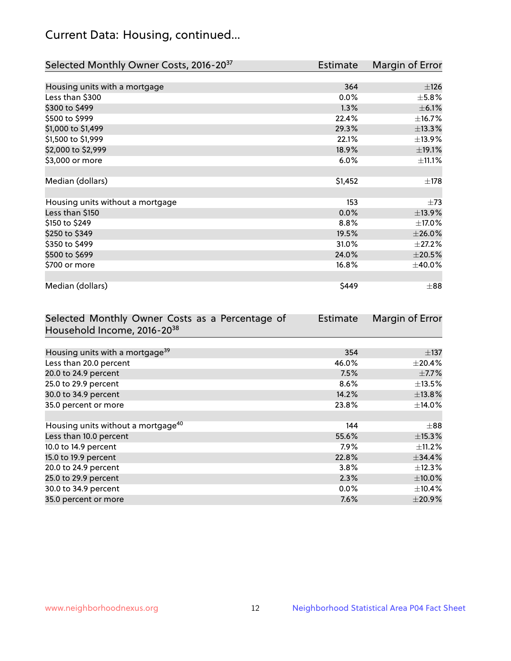# Current Data: Housing, continued...

| Selected Monthly Owner Costs, 2016-20 <sup>37</sup> | Estimate | Margin of Error |
|-----------------------------------------------------|----------|-----------------|
|                                                     |          |                 |
| Housing units with a mortgage                       | 364      | $\pm 126$       |
| Less than \$300                                     | $0.0\%$  | $\pm$ 5.8%      |
| \$300 to \$499                                      | 1.3%     | $\pm$ 6.1%      |
| \$500 to \$999                                      | 22.4%    | ±16.7%          |
| \$1,000 to \$1,499                                  | 29.3%    | ±13.3%          |
| \$1,500 to \$1,999                                  | 22.1%    | ±13.9%          |
| \$2,000 to \$2,999                                  | 18.9%    | ±19.1%          |
| \$3,000 or more                                     | 6.0%     | $\pm$ 11.1%     |
|                                                     |          |                 |
| Median (dollars)                                    | \$1,452  | $\pm$ 178       |
|                                                     |          |                 |
| Housing units without a mortgage                    | 153      | $\pm 73$        |
| Less than \$150                                     | 0.0%     | ±13.9%          |
| \$150 to \$249                                      | 8.8%     | ±17.0%          |
| \$250 to \$349                                      | 19.5%    | ±26.0%          |
| \$350 to \$499                                      | 31.0%    | $\pm 27.2\%$    |
| \$500 to \$699                                      | 24.0%    | $\pm 20.5\%$    |
| \$700 or more                                       | 16.8%    | $\pm$ 40.0%     |
|                                                     |          |                 |
| Median (dollars)                                    | \$449    | $\pm$ 88        |

| Selected Monthly Owner Costs as a Percentage of | <b>Estimate</b> | Margin of Error |
|-------------------------------------------------|-----------------|-----------------|
| Household Income, 2016-2038                     |                 |                 |
|                                                 |                 |                 |
| Housing units with a mortgage <sup>39</sup>     | 354             | $\pm$ 137       |
| Less than 20.0 percent                          | 46.0%           | $\pm$ 20.4%     |
| 20.0 to 24.9 percent                            | 7.5%            | $\pm$ 7.7%      |
| 25.0 to 29.9 percent                            | 8.6%            | $\pm$ 13.5%     |
| 30.0 to 34.9 percent                            | 14.2%           | ±13.8%          |
| 35.0 percent or more                            | 23.8%           | $\pm$ 14.0%     |
|                                                 |                 |                 |
| Housing units without a mortgage <sup>40</sup>  | 144             | $\pm 88$        |
| Less than 10.0 percent                          | 55.6%           | $\pm$ 15.3%     |
| 10.0 to 14.9 percent                            | $7.9\%$         | $\pm$ 11.2%     |
| 15.0 to 19.9 percent                            | 22.8%           | $\pm$ 34.4%     |
| 20.0 to 24.9 percent                            | $3.8\%$         | $\pm$ 12.3%     |
| 25.0 to 29.9 percent                            | 2.3%            | $\pm$ 10.0%     |
| 30.0 to 34.9 percent                            | $0.0\%$         | $\pm$ 10.4%     |
| 35.0 percent or more                            | 7.6%            | $\pm$ 20.9%     |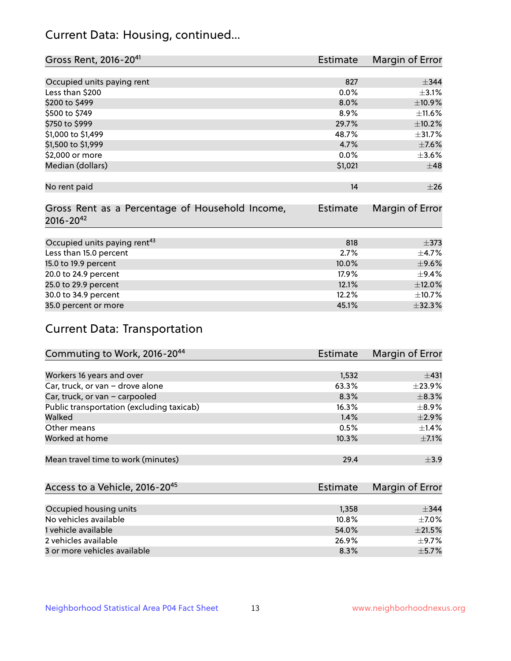# Current Data: Housing, continued...

| Gross Rent, 2016-20 <sup>41</sup>               | Estimate        | Margin of Error |
|-------------------------------------------------|-----------------|-----------------|
|                                                 |                 |                 |
| Occupied units paying rent                      | 827             | $\pm$ 344       |
| Less than \$200                                 | 0.0%            | $\pm$ 3.1%      |
| \$200 to \$499                                  | 8.0%            | ±10.9%          |
| \$500 to \$749                                  | 8.9%            | $\pm$ 11.6%     |
| \$750 to \$999                                  | 29.7%           | $\pm$ 10.2%     |
| \$1,000 to \$1,499                              | 48.7%           | ±31.7%          |
| \$1,500 to \$1,999                              | 4.7%            | $\pm$ 7.6%      |
| \$2,000 or more                                 | 0.0%            | $\pm 3.6\%$     |
| Median (dollars)                                | \$1,021         | $\pm$ 48        |
|                                                 |                 |                 |
| No rent paid                                    | 14              | $\pm 26$        |
|                                                 |                 |                 |
| Gross Rent as a Percentage of Household Income, | <b>Estimate</b> | Margin of Error |
| $2016 - 20^{42}$                                |                 |                 |
|                                                 |                 |                 |
| Occupied units paying rent <sup>43</sup>        | 818             | $\pm$ 373       |
| Less than 15.0 percent                          | 2.7%            | $\pm$ 4.7%      |
| 15.0 to 19.9 percent                            | 10.0%           | $\pm$ 9.6%      |
| 20.0 to 24.9 percent                            | 17.9%           | $\pm$ 9.4%      |
| 25.0 to 29.9 percent                            | 12.1%           | $\pm$ 12.0%     |
| 30.0 to 34.9 percent                            | 12.2%           | ±10.7%          |
| 35.0 percent or more                            | 45.1%           | $\pm$ 32.3%     |

# Current Data: Transportation

| Commuting to Work, 2016-20 <sup>44</sup>  | Estimate | Margin of Error |
|-------------------------------------------|----------|-----------------|
|                                           |          |                 |
| Workers 16 years and over                 | 1,532    | ±431            |
| Car, truck, or van - drove alone          | 63.3%    | $\pm$ 23.9%     |
| Car, truck, or van - carpooled            | 8.3%     | $\pm$ 8.3%      |
| Public transportation (excluding taxicab) | 16.3%    | $\pm$ 8.9%      |
| Walked                                    | 1.4%     | $\pm 2.9\%$     |
| Other means                               | 0.5%     | $\pm$ 1.4%      |
| Worked at home                            | 10.3%    | $\pm$ 7.1%      |
|                                           |          |                 |
| Mean travel time to work (minutes)        | 29.4     | $\pm$ 3.9       |

| Access to a Vehicle, 2016-20 <sup>45</sup> | Estimate | Margin of Error |
|--------------------------------------------|----------|-----------------|
|                                            |          |                 |
| Occupied housing units                     | 1.358    | $+344$          |
| No vehicles available                      | 10.8%    | $+7.0%$         |
| 1 vehicle available                        | 54.0%    | $\pm 21.5\%$    |
| 2 vehicles available                       | 26.9%    | $+9.7%$         |
| 3 or more vehicles available               | 8.3%     | $+5.7%$         |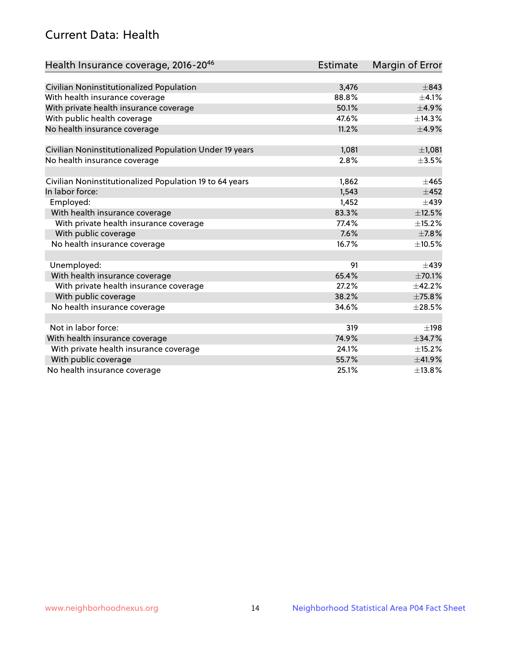# Current Data: Health

| Health Insurance coverage, 2016-2046                    | Estimate | Margin of Error |
|---------------------------------------------------------|----------|-----------------|
|                                                         |          |                 |
| Civilian Noninstitutionalized Population                | 3,476    | $\pm$ 843       |
| With health insurance coverage                          | 88.8%    | $\pm$ 4.1%      |
| With private health insurance coverage                  | 50.1%    | ±4.9%           |
| With public health coverage                             | 47.6%    | ±14.3%          |
| No health insurance coverage                            | 11.2%    | $\pm$ 4.9%      |
| Civilian Noninstitutionalized Population Under 19 years | 1,081    | $\pm$ 1,081     |
| No health insurance coverage                            | 2.8%     | $\pm 3.5\%$     |
|                                                         |          |                 |
| Civilian Noninstitutionalized Population 19 to 64 years | 1,862    | $\pm 465$       |
| In labor force:                                         | 1,543    | $\pm 452$       |
| Employed:                                               | 1,452    | $\pm 439$       |
| With health insurance coverage                          | 83.3%    | $\pm$ 12.5%     |
| With private health insurance coverage                  | 77.4%    | $\pm$ 15.2%     |
| With public coverage                                    | 7.6%     | $\pm$ 7.8%      |
| No health insurance coverage                            | 16.7%    | $\pm$ 10.5%     |
|                                                         |          |                 |
| Unemployed:                                             | 91       | $\pm 439$       |
| With health insurance coverage                          | 65.4%    | ±70.1%          |
| With private health insurance coverage                  | 27.2%    | ±42.2%          |
| With public coverage                                    | 38.2%    | ±75.8%          |
| No health insurance coverage                            | 34.6%    | $\pm 28.5\%$    |
|                                                         |          |                 |
| Not in labor force:                                     | 319      | ±198            |
| With health insurance coverage                          | 74.9%    | ±34.7%          |
| With private health insurance coverage                  | 24.1%    | ±15.2%          |
| With public coverage                                    | 55.7%    | ±41.9%          |
| No health insurance coverage                            | 25.1%    | ±13.8%          |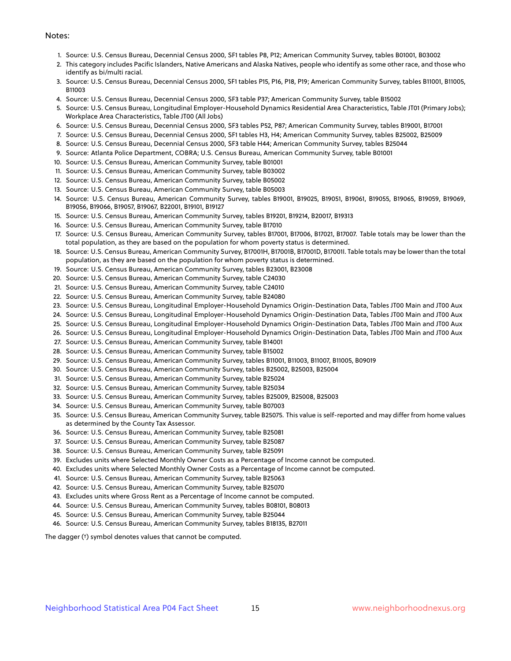#### Notes:

- 1. Source: U.S. Census Bureau, Decennial Census 2000, SF1 tables P8, P12; American Community Survey, tables B01001, B03002
- 2. This category includes Pacific Islanders, Native Americans and Alaska Natives, people who identify as some other race, and those who identify as bi/multi racial.
- 3. Source: U.S. Census Bureau, Decennial Census 2000, SF1 tables P15, P16, P18, P19; American Community Survey, tables B11001, B11005, B11003
- 4. Source: U.S. Census Bureau, Decennial Census 2000, SF3 table P37; American Community Survey, table B15002
- 5. Source: U.S. Census Bureau, Longitudinal Employer-Household Dynamics Residential Area Characteristics, Table JT01 (Primary Jobs); Workplace Area Characteristics, Table JT00 (All Jobs)
- 6. Source: U.S. Census Bureau, Decennial Census 2000, SF3 tables P52, P87; American Community Survey, tables B19001, B17001
- 7. Source: U.S. Census Bureau, Decennial Census 2000, SF1 tables H3, H4; American Community Survey, tables B25002, B25009
- 8. Source: U.S. Census Bureau, Decennial Census 2000, SF3 table H44; American Community Survey, tables B25044
- 9. Source: Atlanta Police Department, COBRA; U.S. Census Bureau, American Community Survey, table B01001
- 10. Source: U.S. Census Bureau, American Community Survey, table B01001
- 11. Source: U.S. Census Bureau, American Community Survey, table B03002
- 12. Source: U.S. Census Bureau, American Community Survey, table B05002
- 13. Source: U.S. Census Bureau, American Community Survey, table B05003
- 14. Source: U.S. Census Bureau, American Community Survey, tables B19001, B19025, B19051, B19061, B19055, B19065, B19059, B19069, B19056, B19066, B19057, B19067, B22001, B19101, B19127
- 15. Source: U.S. Census Bureau, American Community Survey, tables B19201, B19214, B20017, B19313
- 16. Source: U.S. Census Bureau, American Community Survey, table B17010
- 17. Source: U.S. Census Bureau, American Community Survey, tables B17001, B17006, B17021, B17007. Table totals may be lower than the total population, as they are based on the population for whom poverty status is determined.
- 18. Source: U.S. Census Bureau, American Community Survey, B17001H, B17001B, B17001D, B17001I. Table totals may be lower than the total population, as they are based on the population for whom poverty status is determined.
- 19. Source: U.S. Census Bureau, American Community Survey, tables B23001, B23008
- 20. Source: U.S. Census Bureau, American Community Survey, table C24030
- 21. Source: U.S. Census Bureau, American Community Survey, table C24010
- 22. Source: U.S. Census Bureau, American Community Survey, table B24080
- 23. Source: U.S. Census Bureau, Longitudinal Employer-Household Dynamics Origin-Destination Data, Tables JT00 Main and JT00 Aux
- 24. Source: U.S. Census Bureau, Longitudinal Employer-Household Dynamics Origin-Destination Data, Tables JT00 Main and JT00 Aux
- 25. Source: U.S. Census Bureau, Longitudinal Employer-Household Dynamics Origin-Destination Data, Tables JT00 Main and JT00 Aux
- 26. Source: U.S. Census Bureau, Longitudinal Employer-Household Dynamics Origin-Destination Data, Tables JT00 Main and JT00 Aux
- 27. Source: U.S. Census Bureau, American Community Survey, table B14001
- 28. Source: U.S. Census Bureau, American Community Survey, table B15002
- 29. Source: U.S. Census Bureau, American Community Survey, tables B11001, B11003, B11007, B11005, B09019
- 30. Source: U.S. Census Bureau, American Community Survey, tables B25002, B25003, B25004
- 31. Source: U.S. Census Bureau, American Community Survey, table B25024
- 32. Source: U.S. Census Bureau, American Community Survey, table B25034
- 33. Source: U.S. Census Bureau, American Community Survey, tables B25009, B25008, B25003
- 34. Source: U.S. Census Bureau, American Community Survey, table B07003
- 35. Source: U.S. Census Bureau, American Community Survey, table B25075. This value is self-reported and may differ from home values as determined by the County Tax Assessor.
- 36. Source: U.S. Census Bureau, American Community Survey, table B25081
- 37. Source: U.S. Census Bureau, American Community Survey, table B25087
- 38. Source: U.S. Census Bureau, American Community Survey, table B25091
- 39. Excludes units where Selected Monthly Owner Costs as a Percentage of Income cannot be computed.
- 40. Excludes units where Selected Monthly Owner Costs as a Percentage of Income cannot be computed.
- 41. Source: U.S. Census Bureau, American Community Survey, table B25063
- 42. Source: U.S. Census Bureau, American Community Survey, table B25070
- 43. Excludes units where Gross Rent as a Percentage of Income cannot be computed.
- 44. Source: U.S. Census Bureau, American Community Survey, tables B08101, B08013
- 45. Source: U.S. Census Bureau, American Community Survey, table B25044
- 46. Source: U.S. Census Bureau, American Community Survey, tables B18135, B27011

The dagger (†) symbol denotes values that cannot be computed.